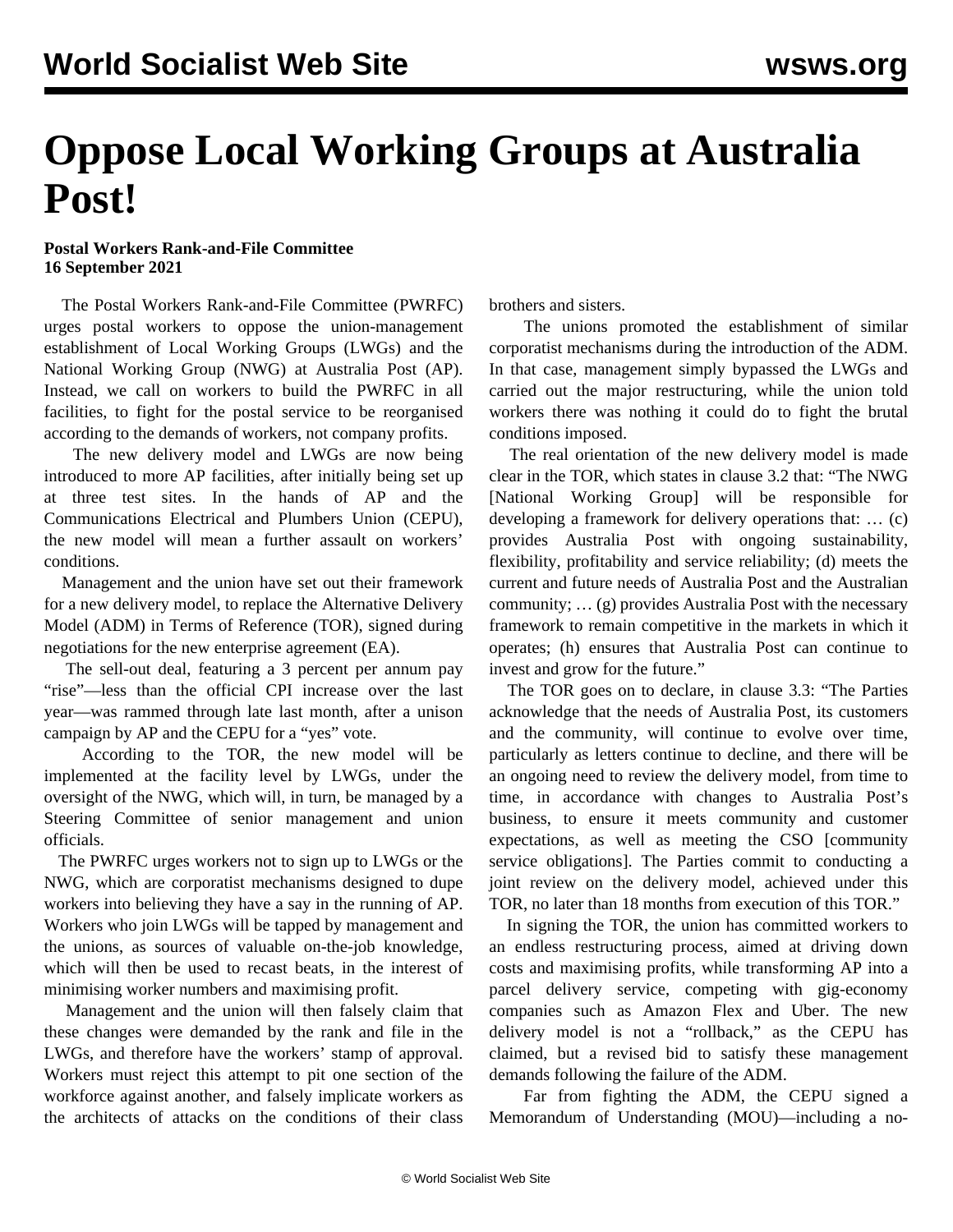## **Oppose Local Working Groups at Australia Post!**

## **Postal Workers Rank-and-File Committee 16 September 2021**

 The Postal Workers Rank-and-File Committee (PWRFC) urges postal workers to oppose the union-management establishment of Local Working Groups (LWGs) and the National Working Group (NWG) at Australia Post (AP). Instead, we call on workers to build the PWRFC in all facilities, to fight for the postal service to be reorganised according to the demands of workers, not company profits.

 The new delivery model and LWGs are now being introduced to more AP facilities, after initially being set up at three test sites. In the hands of AP and the Communications Electrical and Plumbers Union (CEPU), the new model will mean a further assault on workers' conditions.

 Management and the union have set out their framework for a new delivery model, to replace the Alternative Delivery Model (ADM) in Terms of Reference (TOR), signed during negotiations for the new enterprise agreement (EA).

 The sell-out deal, featuring a 3 percent per annum pay "rise"—less than the official CPI increase over the last year—was rammed through late last month, after a unison campaign by AP and the CEPU for a "yes" vote.

 According to the TOR, the new model will be implemented at the facility level by LWGs, under the oversight of the NWG, which will, in turn, be managed by a Steering Committee of senior management and union officials.

 The PWRFC urges workers not to sign up to LWGs or the NWG, which are corporatist mechanisms designed to dupe workers into believing they have a say in the running of AP. Workers who join LWGs will be tapped by management and the unions, as sources of valuable on-the-job knowledge, which will then be used to recast beats, in the interest of minimising worker numbers and maximising profit.

 Management and the union will then falsely claim that these changes were demanded by the rank and file in the LWGs, and therefore have the workers' stamp of approval. Workers must reject this attempt to pit one section of the workforce against another, and falsely implicate workers as the architects of attacks on the conditions of their class brothers and sisters.

 The unions promoted the establishment of similar corporatist mechanisms during the introduction of the ADM. In that case, management simply bypassed the LWGs and carried out the major restructuring, while the union told workers there was nothing it could do to fight the brutal conditions imposed.

 The real orientation of the new delivery model is made clear in the TOR, which states in clause 3.2 that: "The NWG [National Working Group] will be responsible for developing a framework for delivery operations that: … (c) provides Australia Post with ongoing sustainability, flexibility, profitability and service reliability; (d) meets the current and future needs of Australia Post and the Australian community; … (g) provides Australia Post with the necessary framework to remain competitive in the markets in which it operates; (h) ensures that Australia Post can continue to invest and grow for the future."

 The TOR goes on to declare, in clause 3.3: "The Parties acknowledge that the needs of Australia Post, its customers and the community, will continue to evolve over time, particularly as letters continue to decline, and there will be an ongoing need to review the delivery model, from time to time, in accordance with changes to Australia Post's business, to ensure it meets community and customer expectations, as well as meeting the CSO [community service obligations]. The Parties commit to conducting a joint review on the delivery model, achieved under this TOR, no later than 18 months from execution of this TOR."

 In signing the TOR, the union has committed workers to an endless restructuring process, aimed at driving down costs and maximising profits, while transforming AP into a parcel delivery service, competing with gig-economy companies such as Amazon Flex and Uber. The new delivery model is not a "rollback," as the CEPU has claimed, but a revised bid to satisfy these management demands following the failure of the ADM.

 Far from fighting the ADM, the CEPU signed a Memorandum of Understanding (MOU)—including a no